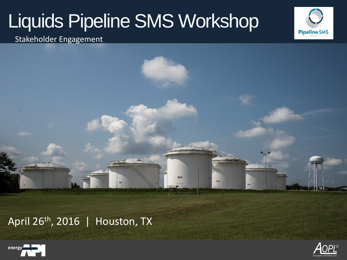534

535



Stakeholder Engagement

April 26<sup>th</sup>, 2016 | Houston, TX



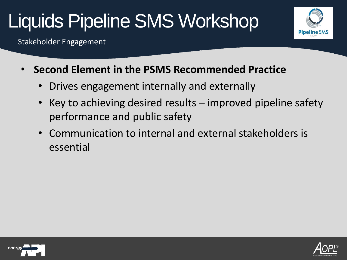

Stakeholder Engagement

- **Second Element in the PSMS Recommended Practice** 
	- Drives engagement internally and externally
	- Key to achieving desired results improved pipeline safety performance and public safety
	- Communication to internal and external stakeholders is essential



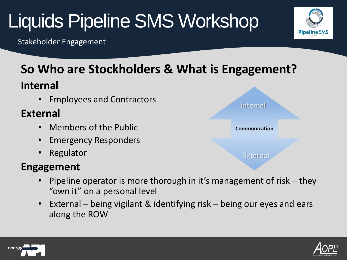Stakeholder Engagement

#### **So Who are Stockholders & What is Engagement?**

#### **Internal**

• Employees and Contractors

#### **External**

- Members of the Public
- Emergency Responders
- Regulator

#### **Engagement**

- Pipeline operator is more thorough in it's management of risk they "own it" on a personal level
- External being vigilant & identifying risk being our eyes and ears along the ROW







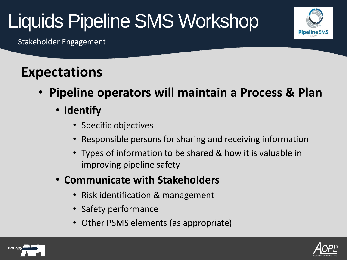

Stakeholder Engagement

### **Expectations**

- **Pipeline operators will maintain a Process & Plan**
	- **Identify**
		- Specific objectives
		- Responsible persons for sharing and receiving information
		- Types of information to be shared & how it is valuable in improving pipeline safety
	- **Communicate with Stakeholders**
		- Risk identification & management
		- Safety performance
		- Other PSMS elements (as appropriate)



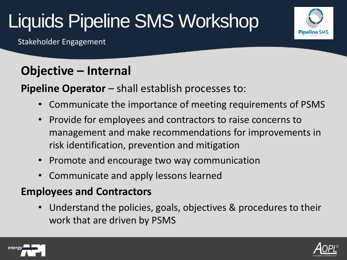Stakeholder Engagement

#### **Objective – Internal**

**Pipeline Operator** – shall establish processes to:

- Communicate the importance of meeting requirements of PSMS
- Provide for employees and contractors to raise concerns to management and make recommendations for improvements in risk identification, prevention and mitigation
- Promote and encourage two way communication
- Communicate and apply lessons learned

#### **Employees and Contractors**

• Understand the policies, goals, objectives & procedures to their work that are driven by PSMS



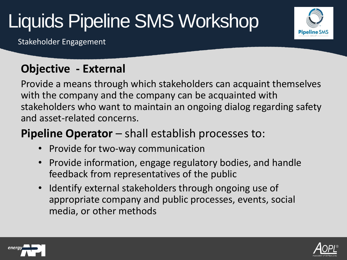**Pipeline SMS** 

Stakeholder Engagement

#### **Objective - External**

Provide a means through which stakeholders can acquaint themselves with the company and the company can be acquainted with stakeholders who want to maintain an ongoing dialog regarding safety and asset-related concerns.

#### **Pipeline Operator** – shall establish processes to:

- Provide for two-way communication
- Provide information, engage regulatory bodies, and handle feedback from representatives of the public
- Identify external stakeholders through ongoing use of appropriate company and public processes, events, social media, or other methods



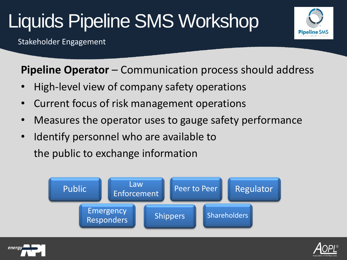Stakeholder Engagement



**Pipeline Operator** – Communication process should address

- High-level view of company safety operations
- Current focus of risk management operations
- Measures the operator uses to gauge safety performance
- Identify personnel who are available to the public to exchange information